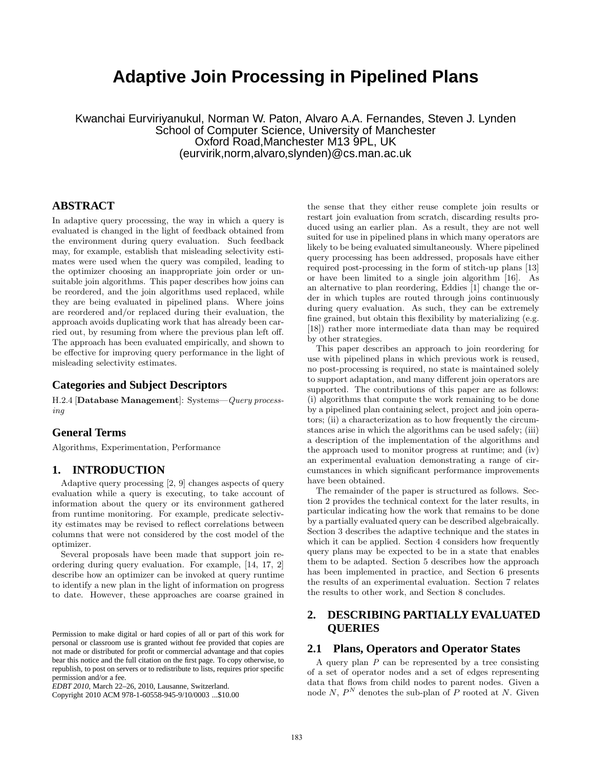# **Adaptive Join Processing in Pipelined Plans**

Kwanchai Eurviriyanukul, Norman W. Paton, Alvaro A.A. Fernandes, Steven J. Lynden School of Computer Science, University of Manchester Oxford Road,Manchester M13 9PL, UK (eurvirik,norm,alvaro,slynden)@cs.man.ac.uk

## **ABSTRACT**

In adaptive query processing, the way in which a query is evaluated is changed in the light of feedback obtained from the environment during query evaluation. Such feedback may, for example, establish that misleading selectivity estimates were used when the query was compiled, leading to the optimizer choosing an inappropriate join order or unsuitable join algorithms. This paper describes how joins can be reordered, and the join algorithms used replaced, while they are being evaluated in pipelined plans. Where joins are reordered and/or replaced during their evaluation, the approach avoids duplicating work that has already been carried out, by resuming from where the previous plan left off. The approach has been evaluated empirically, and shown to be effective for improving query performance in the light of misleading selectivity estimates.

## **Categories and Subject Descriptors**

H.2.4 [Database Management]: Systems—Query processing

#### **General Terms**

Algorithms, Experimentation, Performance

## **1. INTRODUCTION**

Adaptive query processing [2, 9] changes aspects of query evaluation while a query is executing, to take account of information about the query or its environment gathered from runtime monitoring. For example, predicate selectivity estimates may be revised to reflect correlations between columns that were not considered by the cost model of the optimizer.

Several proposals have been made that support join reordering during query evaluation. For example, [14, 17, 2] describe how an optimizer can be invoked at query runtime to identify a new plan in the light of information on progress to date. However, these approaches are coarse grained in

Copyright 2010 ACM 978-1-60558-945-9/10/0003 ...\$10.00

the sense that they either reuse complete join results or restart join evaluation from scratch, discarding results produced using an earlier plan. As a result, they are not well suited for use in pipelined plans in which many operators are likely to be being evaluated simultaneously. Where pipelined query processing has been addressed, proposals have either required post-processing in the form of stitch-up plans [13] or have been limited to a single join algorithm [16]. As an alternative to plan reordering, Eddies [1] change the order in which tuples are routed through joins continuously during query evaluation. As such, they can be extremely fine grained, but obtain this flexibility by materializing (e.g. [18]) rather more intermediate data than may be required by other strategies.

This paper describes an approach to join reordering for use with pipelined plans in which previous work is reused, no post-processing is required, no state is maintained solely to support adaptation, and many different join operators are supported. The contributions of this paper are as follows: (i) algorithms that compute the work remaining to be done by a pipelined plan containing select, project and join operators; (ii) a characterization as to how frequently the circumstances arise in which the algorithms can be used safely; (iii) a description of the implementation of the algorithms and the approach used to monitor progress at runtime; and (iv) an experimental evaluation demonstrating a range of circumstances in which significant performance improvements have been obtained.

The remainder of the paper is structured as follows. Section 2 provides the technical context for the later results, in particular indicating how the work that remains to be done by a partially evaluated query can be described algebraically. Section 3 describes the adaptive technique and the states in which it can be applied. Section 4 considers how frequently query plans may be expected to be in a state that enables them to be adapted. Section 5 describes how the approach has been implemented in practice, and Section 6 presents the results of an experimental evaluation. Section 7 relates the results to other work, and Section 8 concludes.

# **2. DESCRIBING PARTIALLY EVALUATED QUERIES**

#### **2.1 Plans, Operators and Operator States**

A query plan  $P$  can be represented by a tree consisting of a set of operator nodes and a set of edges representing data that flows from child nodes to parent nodes. Given a node  $N, P<sup>N</sup>$  denotes the sub-plan of P rooted at N. Given

Permission to make digital or hard copies of all or part of this work for personal or classroom use is granted without fee provided that copies are not made or distributed for profit or commercial advantage and that copies bear this notice and the full citation on the first page. To copy otherwise, to republish, to post on servers or to redistribute to lists, requires prior specific permission and/or a fee.

*EDBT 2010*, March 22–26, 2010, Lausanne, Switzerland.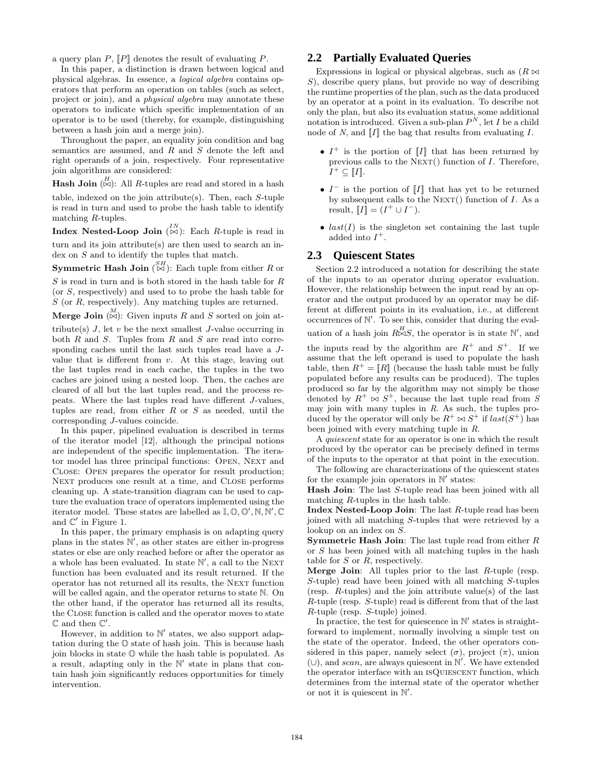a query plan  $P$ ,  $\llbracket P \rrbracket$  denotes the result of evaluating P.

In this paper, a distinction is drawn between logical and physical algebras. In essence, a logical algebra contains operators that perform an operation on tables (such as select, project or join), and a physical algebra may annotate these operators to indicate which specific implementation of an operator is to be used (thereby, for example, distinguishing between a hash join and a merge join).

Throughout the paper, an equality join condition and bag semantics are assumed, and R and S denote the left and right operands of a join, respectively. Four representative join algorithms are considered:

**Hash Join**  $\left(\stackrel{H}{\bowtie}\right)$ : All *R*-tuples are read and stored in a hash

table, indexed on the join attribute(s). Then, each S-tuple is read in turn and used to probe the hash table to identify matching R-tuples.

Index Nested-Loop Join  $\begin{pmatrix} N \\ N \end{pmatrix}$ : Each R-tuple is read in

turn and its join attribute(s) are then used to search an index on  $S$  and to identify the tuples that match.

**Symmetric Hash Join**  $\stackrel{SH}{(\bowtie)}$ : Each tuple from either R or  $S$  is read in turn and is both stored in the hash table for  $R$ (or S, respectively) and used to to probe the hash table for S (or R, respectively). Any matching tuples are returned.

Merge Join  $\stackrel{M}{\left[\infty\right]}$ : Given inputs R and S sorted on join at-

tribute(s)  $J$ , let  $v$  be the next smallest  $J$ -value occurring in both  $R$  and  $S$ . Tuples from  $R$  and  $S$  are read into corresponding caches until the last such tuples read have a Jvalue that is different from  $v$ . At this stage, leaving out the last tuples read in each cache, the tuples in the two caches are joined using a nested loop. Then, the caches are cleared of all but the last tuples read, and the process repeats. Where the last tuples read have different J-values, tuples are read, from either  $R$  or  $S$  as needed, until the corresponding J-values coincide.

In this paper, pipelined evaluation is described in terms of the iterator model [12], although the principal notions are independent of the specific implementation. The iterator model has three principal functions: OPEN, NEXT and Close: Open prepares the operator for result production; Next produces one result at a time, and Close performs cleaning up. A state-transition diagram can be used to capture the evaluation trace of operators implemented using the iterator model. These states are labelled as  $\mathbb{I}, \mathbb{O}, \mathbb{O}', \mathbb{N}, \mathbb{N}', \mathbb{C}$ and  $\mathbb{C}'$  in Figure 1.

In this paper, the primary emphasis is on adapting query plans in the states  $\mathbb{N}'$ , as other states are either in-progress states or else are only reached before or after the operator as a whole has been evaluated. In state  $\mathbb{N}'$ , a call to the NEXT function has been evaluated and its result returned. If the operator has not returned all its results, the NEXT function will be called again, and the operator returns to state N. On the other hand, if the operator has returned all its results, the Close function is called and the operator moves to state  $\mathbb C$  and then  $\mathbb C'.$ 

However, in addition to  $\mathbb{N}'$  states, we also support adaptation during the O state of hash join. This is because hash join blocks in state  $\mathbb O$  while the hash table is populated. As a result, adapting only in the  $\mathbb{N}'$  state in plans that contain hash join significantly reduces opportunities for timely intervention.

## **2.2 Partially Evaluated Queries**

Expressions in logical or physical algebras, such as  $(R \Join$  $S$ ), describe query plans, but provide no way of describing the runtime properties of the plan, such as the data produced by an operator at a point in its evaluation. To describe not only the plan, but also its evaluation status, some additional notation is introduced. Given a sub-plan  $P^N$ , let I be a child node of N, and  $\llbracket I \rrbracket$  the bag that results from evaluating I.

- $I^+$  is the portion of  $[I]$  that has been returned by previous calls to the  $Next{EXT}()$  function of I. Therefore,  $I^+\subseteq$  [I].
- $I^-$  is the portion of  $[I]$  that has yet to be returned by subsequent calls to the NEXT() function of  $I$ . As a result,  $\overline{[I]} = (I^+ \cup I^-).$
- $last(I)$  is the singleton set containing the last tuple added into  $I^+$ .

#### **2.3 Quiescent States**

Section 2.2 introduced a notation for describing the state of the inputs to an operator during operator evaluation. However, the relationship between the input read by an operator and the output produced by an operator may be different at different points in its evaluation, i.e., at different occurrences of  $\mathbb{N}'$ . To see this, consider that during the evaluation of a hash join  $R_{\infty}^H S$ , the operator is in state N', and the inputs read by the algorithm are  $R^+$  and  $S^+$ . If we assume that the left operand is used to populate the hash table, then  $R^+ = [R]$  (because the hash table must be fully populated before any results can be produced). The tuples produced so far by the algorithm may not simply be those denoted by  $R^+ \bowtie S^+$ , because the last tuple read from S may join with many tuples in  $R$ . As such, the tuples produced by the operator will only be  $R^+ \bowtie S^+$  if  $last(S^+)$  has been joined with every matching tuple in R.

A quiescent state for an operator is one in which the result produced by the operator can be precisely defined in terms of the inputs to the operator at that point in the execution.

The following are characterizations of the quiescent states for the example join operators in  $\mathbb{N}'$  states:

Hash Join: The last S-tuple read has been joined with all matching R-tuples in the hash table.

Index Nested-Loop Join: The last R-tuple read has been joined with all matching S-tuples that were retrieved by a lookup on an index on S.

**Symmetric Hash Join:** The last tuple read from either  $R$ or S has been joined with all matching tuples in the hash table for  $S$  or  $R$ , respectively.

Merge Join: All tuples prior to the last R-tuple (resp. S-tuple) read have been joined with all matching S-tuples (resp. R-tuples) and the join attribute value(s) of the last R-tuple (resp. S-tuple) read is different from that of the last R-tuple (resp. S-tuple) joined.

In practice, the test for quiescence in  $\mathbb{N}'$  states is straightforward to implement, normally involving a simple test on the state of the operator. Indeed, the other operators considered in this paper, namely select  $(\sigma)$ , project  $(\pi)$ , union (∪), and scan, are always quiescent in  $\mathbb{N}'$ . We have extended the operator interface with an ISQUIESCENT function, which determines from the internal state of the operator whether or not it is quiescent in  $\mathbb{N}'$ .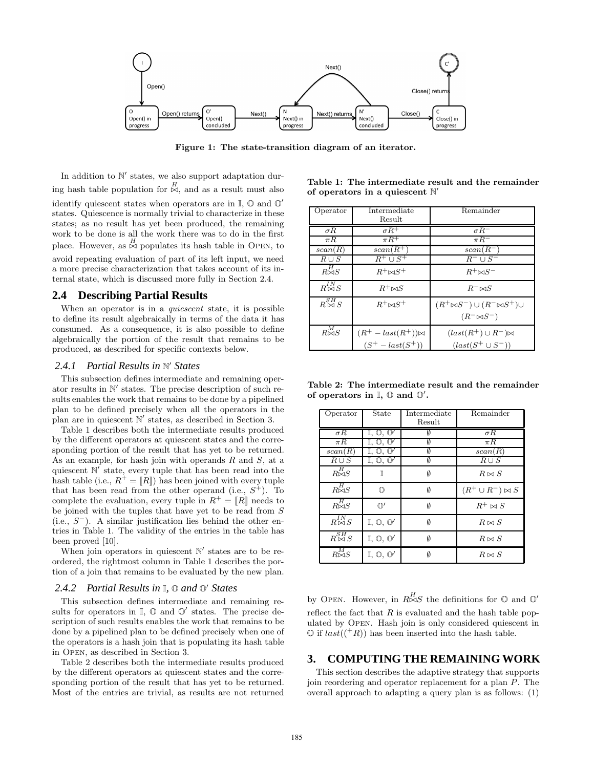

Figure 1: The state-transition diagram of an iterator.

In addition to  $\mathbb{N}'$  states, we also support adaptation during hash table population for  $\stackrel{H}{\bowtie}$ , and as a result must also identify quiescent states when operators are in  $\mathbb{I}, \mathbb{O}$  and  $\mathbb{O}'$ states. Quiescence is normally trivial to characterize in these states; as no result has yet been produced, the remaining work to be done is all the work there was to do in the first place. However, as  $\stackrel{H}{\bowtie}$  populates its hash table in OPEN, to avoid repeating evaluation of part of its left input, we need a more precise characterization that takes account of its internal state, which is discussed more fully in Section 2.4.

## **2.4 Describing Partial Results**

When an operator is in a *quiescent* state, it is possible to define its result algebraically in terms of the data it has consumed. As a consequence, it is also possible to define algebraically the portion of the result that remains to be produced, as described for specific contexts below.

# *2.4.1 Partial Results in* N <sup>0</sup> *States*

This subsection defines intermediate and remaining operator results in  $\mathbb{N}'$  states. The precise description of such results enables the work that remains to be done by a pipelined plan to be defined precisely when all the operators in the plan are in quiescent  $\mathbb{N}'$  states, as described in Section 3.

Table 1 describes both the intermediate results produced by the different operators at quiescent states and the corresponding portion of the result that has yet to be returned. As an example, for hash join with operands  $R$  and  $S$ , at a quiescent N' state, every tuple that has been read into the hash table (i.e.,  $R^+ = [R]$ ) has been joined with every tuple that has been read from the other operand (i.e.,  $S^+$ ). To complete the evaluation, every tuple in  $R^+ = [R]$  needs to be joined with the tuples that have yet to be read from S  $(i.e., S^-)$ . A similar justification lies behind the other entries in Table 1. The validity of the entries in the table has been proved [10].

When join operators in quiescent  $\mathbb{N}'$  states are to be reordered, the rightmost column in Table 1 describes the portion of a join that remains to be evaluated by the new plan.

# *2.4.2 Partial Results in* I*,* O *and* O <sup>0</sup> *States*

This subsection defines intermediate and remaining results for operators in  $\mathbb{I}$ ,  $\mathbb{O}$  and  $\mathbb{O}'$  states. The precise description of such results enables the work that remains to be done by a pipelined plan to be defined precisely when one of the operators is a hash join that is populating its hash table in Open, as described in Section 3.

Table 2 describes both the intermediate results produced by the different operators at quiescent states and the corresponding portion of the result that has yet to be returned. Most of the entries are trivial, as results are not returned

| Table 1: The intermediate result and the remainder |  |  |  |
|----------------------------------------------------|--|--|--|
| of operators in a quiescent $\mathbb{N}'$          |  |  |  |

| Operator                    | Intermediate               | Remainder                                   |
|-----------------------------|----------------------------|---------------------------------------------|
|                             | Result                     |                                             |
| $\sigma R$                  | $\sigma R^+$               | $\sigma R^-$                                |
| $\pi R$                     | $\pi R^+$                  | $\pi R^-$                                   |
| scan(R)                     | $scan(R^+)$                | $scan(R^-)$                                 |
| $R \cup S$                  | $R^+ \cup S^+$             | $R^- \cup S^-$                              |
| $R\stackrel{H}{\Join}S$     | $R^+\bowtie S^+$           | $R^+\bowtie S^-$                            |
| $R_{\mathcal{M}}^{IN}$ S    | $R^+\bowtie S$             | $R^- \bowtie S$                             |
| $R \overset{SH}{\bowtie} S$ | $R^+\bowtie S^+$           | $(R^+\bowtie S^-)\cup (R^-\bowtie S^+)\cup$ |
|                             |                            | $(R^{-} \bowtie S^{-})$                     |
| $R^M_{\bowtie S}$           | $(R^+ - last(R^+))\bowtie$ | $(last(R^+) \cup R^-)\bowtie$               |
|                             | $(S^{+} - last(S^{+}))$    | $(last(S^+\cup S^-))$                       |

Table 2: The intermediate result and the remainder of operators in  $\mathbb{I}, \mathbb{O}$  and  $\mathbb{O}'$ .

| Operator                    | State                                 | Intermediate | Remainder                |
|-----------------------------|---------------------------------------|--------------|--------------------------|
|                             |                                       | Result       |                          |
| $\sigma R$                  | $\mathbb{I}, \mathbb{O}, \mathbb{O}'$ | V            | $\sigma R$               |
| $\pi R$                     | $\mathbb{I}, \mathbb{O}, \mathbb{O}'$ |              | $\pi R$                  |
| scan(R)                     | $\mathbb{I}, \mathbb{O}, \mathbb{O}'$ | Ø            | scan(R)                  |
| $R \cup S$                  | $\mathbb{I}, \mathbb{O}, \mathbb{O}'$ | Ø            | $R \cup S$               |
| $R^{H}_{\bowtie S}$         | T                                     | Ø            | $R \bowtie S$            |
| $R^H_{\bowtie S}$           | 1 D                                   | Ø            | $(R^+\cup R^-)\bowtie S$ |
| $R^H_{\bowtie S}$           | $\mathbb{O}'$                         | Ø            | $R^+ \bowtie S$          |
| $R_{\infty}^{IN}$ S         | $\mathbb{I}, \mathbb{O}, \mathbb{O}'$ | Ø            | $R \bowtie S$            |
| $R \overset{SH}{\bowtie} S$ | $\mathbb{I}, \mathbb{O}, \mathbb{O}'$ | Ø            | $R \bowtie S$            |
| $\overline{R\mathbb{M}}S$   | $\mathbb{I}, \mathbb{O}, \mathbb{O}'$ | Ø            | $R \bowtie S$            |

by OPEN. However, in  $R \stackrel{H}{\bowtie} S$  the definitions for  $\mathbb O$  and  $\mathbb O'$ reflect the fact that  $R$  is evaluated and the hash table populated by Open. Hash join is only considered quiescent in  $\mathbb{O}$  if  $last((^+R))$  has been inserted into the hash table.

#### **3. COMPUTING THE REMAINING WORK**

This section describes the adaptive strategy that supports join reordering and operator replacement for a plan P. The overall approach to adapting a query plan is as follows: (1)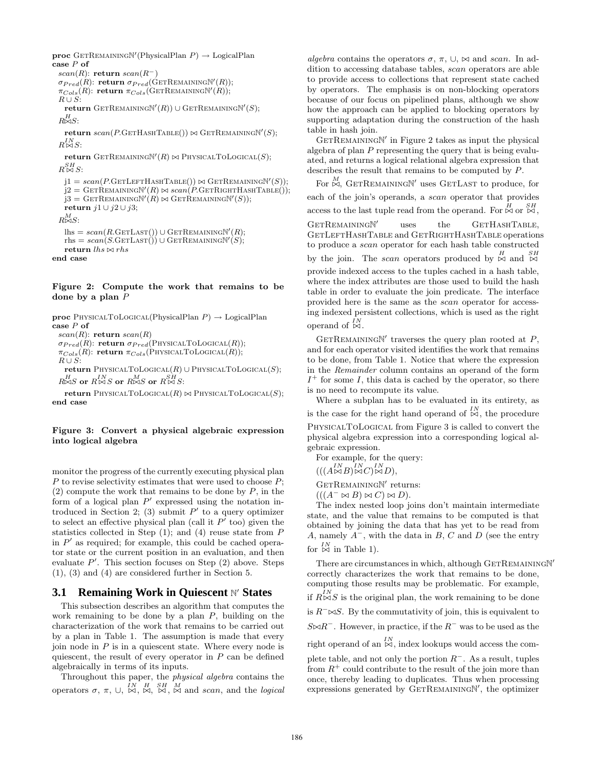$\mathbf{proc} \ \text{GETREMAININGN'}(\text{PhysicalPlan } P) \rightarrow \text{LogicalPlan}$ case P of

scan(R): return scan(R<sup>-</sup>)  $\sigma_{Pred}(R)$ : return  $\sigma_{Pred}(\mathrm{GerRemainingN}'(R));$  $\pi_{Cols}(R)$ : return  $\pi_{Cols}(\text{GETREMAININGN}'(R));$  $R \cup S:$  $\mathbf{return}$  GETREMAININGN'(R))  $\cup$  GETREMAININGN'(S);  $R^H_{\bowtie S}$ :

 $return\ scan(P.\text{GETHASHTABLE}()) \bowtie \text{GETRemainingN}'(S);$  $R_{\rm NN}^{IN}$ S:

**return** GETREMAININGN'( $R$ )  $\bowtie$  PhysicalToLogical( $S$ );  $R\mathop{\boxtimes}\limits^{SH}S:$ 

 $j1 = scan(P.GETLEFTHASHTABLE()) \bowtie GETREMAININGN'(S));$  $j2 = \text{GETREMAININGN}'(R) \bowtie scan(P.\text{GETRIGHTHASHTABLE}(),$  $j3 = \text{GETREMAININGN}'(R) \bowtie \text{GETREMAININGN}'(S));$ return  $j1 ∪ j2 ∪ j3;$  $R^M \bowtie S$ :  $\text{llhs} = scan(R.\text{GETLast}()) \cup \text{GETRemainingN}'(R);$  $rhs = scan(S.GerLast()) \cup GerRemainingN'(S);$ return  $\mathit{lhs}\bowtie\mathit{rhs}$ 

end case

#### Figure 2: Compute the work that remains to be done by a plan  $P$

proc PHYSICALTOLOGICAL(PhysicalPlan  $P$ )  $\rightarrow$  LogicalPlan case P of  $scan(R)$ : return  $scan(R)$  $\sigma_{Pred}(\hat{R})$ : return  $\sigma_{Pred}(\text{PHYSICALToLOGICAL}(R))$ ;  $\pi_{Cols}(R)$ : return  $\pi_{Cols}(P$ HYSICALTOLOGICAL $(R)$ );  $R \cup S$ : return PhysicalToLogical $(R)$  ∪ PhysicalToLogical $(S)$ ;

 $R_{\infty}^{H} S$  or  $R_{\infty}^{IN} S$  or  $R_{\infty}^{M} S$  or  $R_{\infty}^{SH} S$ :

return PhysicalToLogical $(R)$   $\bowtie$  PhysicalToLogical $(S)$ ; end case

#### Figure 3: Convert a physical algebraic expression into logical algebra

monitor the progress of the currently executing physical plan  $P$  to revise selectivity estimates that were used to choose  $P$ ;  $(2)$  compute the work that remains to be done by P, in the form of a logical plan  $P'$  expressed using the notation introduced in Section 2; (3) submit  $P'$  to a query optimizer to select an effective physical plan (call it  $P'$  too) given the statistics collected in Step  $(1)$ ; and  $(4)$  reuse state from P in  $P'$  as required; for example, this could be cached operator state or the current position in an evaluation, and then evaluate  $P'$ . This section focuses on Step  $(2)$  above. Steps (1), (3) and (4) are considered further in Section 5.

# **3.1 Remaining Work in Quiescent N' States**

This subsection describes an algorithm that computes the work remaining to be done by a plan  $P$ , building on the characterization of the work that remains to be carried out by a plan in Table 1. The assumption is made that every join node in  $P$  is in a quiescent state. Where every node is quiescent, the result of every operator in  $P$  can be defined algebraically in terms of its inputs.

Throughout this paper, the physical algebra contains the operators  $\sigma$ ,  $\pi$ ,  $\cup$ ,  $\stackrel{IN}{\bowtie}$ ,  $\stackrel{H}{\bowtie}$ ,  $\stackrel{SH}{\bowtie}$ , and scan, and the logical

algebra contains the operators  $\sigma$ ,  $\pi$ ,  $\cup$ ,  $\bowtie$  and scan. In addition to accessing database tables, scan operators are able to provide access to collections that represent state cached by operators. The emphasis is on non-blocking operators because of our focus on pipelined plans, although we show how the approach can be applied to blocking operators by supporting adaptation during the construction of the hash table in hash join.

GETREMAININGN' in Figure 2 takes as input the physical algebra of plan  $P$  representing the query that is being evaluated, and returns a logical relational algebra expression that describes the result that remains to be computed by P.

For  $\stackrel{M}{\bowtie}$ , GETREMAININGN' uses GETLAST to produce, for each of the join's operands, a scan operator that provides access to the last tuple read from the operand. For  $\stackrel{H}{\bowtie}$  or  $\stackrel{SH}{\bowtie}$ , GETREMAININGN' uses the GETHASHTABLE, GETLEFTHASHTABLE and GETRIGHTHASHTABLE operations to produce a scan operator for each hash table constructed by the join. The scan operators produced by  $\stackrel{H}{\bowtie}$  and  $\stackrel{SH}{\bowtie}$ provide indexed access to the tuples cached in a hash table, where the index attributes are those used to build the hash table in order to evaluate the join predicate. The interface provided here is the same as the scan operator for accessing indexed persistent collections, which is used as the right operand of  $\stackrel{IN}{\bowtie}$ .

 $GETREMANINGN'$  traverses the query plan rooted at  $P$ , and for each operator visited identifies the work that remains to be done, from Table 1. Notice that where the expression in the Remainder column contains an operand of the form  $I^+$  for some I, this data is cached by the operator, so there is no need to recompute its value.

Where a subplan has to be evaluated in its entirety, as is the case for the right hand operand of  $\stackrel{IN}{\bowtie}$ , the procedure PhysicalToLogical from Figure 3 is called to convert the physical algebra expression into a corresponding logical algebraic expression.

For example, for the query:  $(((A \boxtimes B) \boxtimes C) \boxtimes D),$ 

GETREMAININGN' returns:

 $(((A^{-} \bowtie B) \bowtie C) \bowtie D).$ 

The index nested loop joins don't maintain intermediate state, and the value that remains to be computed is that obtained by joining the data that has yet to be read from A, namely  $A^-$ , with the data in B, C and D (see the entry for  $\stackrel{IN}{\bowtie}$  in Table 1).

There are circumstances in which, although GETREMAININGN' correctly characterizes the work that remains to be done, computing those results may be problematic. For example, if  $R_{\infty}^{IN}S$  is the original plan, the work remaining to be done is  $R^{-} \bowtie S$ . By the commutativity of join, this is equivalent to  $S \bowtie R^-$ . However, in practice, if the  $R^-$  was to be used as the right operand of an  $\stackrel{IN}{\bowtie}$ , index lookups would access the complete table, and not only the portion  $R^-$ . As a result, tuples

from  $R^+$  could contribute to the result of the join more than once, thereby leading to duplicates. Thus when processing expressions generated by GETREMAININGN', the optimizer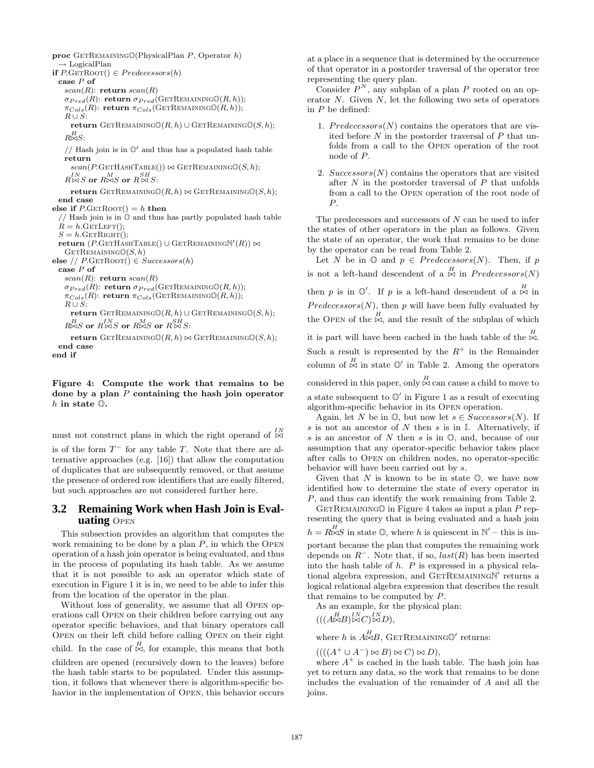proc GETREMAINING  $\mathbb{O}(P$ hysicalPlan P, Operator h)  $\rightarrow$  LogicalPlan if  $P$ .GETROOT $() \in Predecessors(h)$ case P of  $scan(R)$ : return  $scan(R)$  $\sigma_{Pred}(R)$ : return  $\sigma_{Pred}(\text{GETRemaining@}(R, h));$  $\pi_{Cols}(R)$ : return  $\pi_{Cols}(\text{GETREMAININGO}(R, h));$  $R \cup S$ : return GETREMAINING $\mathbb{O}(R, h) \cup$  GETREMAINING $\mathbb{O}(S, h)$ ;  $R^H \bowtie S$ : // Hash join is in  $\mathbb{O}'$  and thus has a populated hash table return  $scan(P.GETHASHTABLE()) \bowtie GETREMAININGO(S, h);$  $R^{IN}_{\bowtie S}$  or  $R^{M}_{\bowtie S}$  or  $R^{SH}_{\bowtie S}$ : return GETREMAINING $\mathbb{O}(R, h) \bowtie$  GETREMAINING $\mathbb{O}(S, h)$ ; end case else if  $P$ .GETROOT $() = h$  then // Hash join is in O and thus has partly populated hash table  $R = h \cdot \text{GETLET}();$  $S = h$ .GETRIGHT();  $\textbf{return }(P.\text{GETHASHTABLE}() \cup \text{GETRemainingN}'(R)) \Join$  $GETREMAININGO(S, h)$ else //  $P$ .GETROOT $() \in Successors(h)$ case P of  $scan(R)$ : return  $scan(R)$  $\sigma_{Pred}(R)$ : return  $\sigma_{Pred}$ (GETREMAININGO(R, h));  $\pi_{Cols}(R)$ : return  $\pi_{Cols}(\text{GETRemainINGO}(R, h));$  $R \cup S$ : return GetRemaining $\mathbb{O}(R, h) \cup$  GetRemaining $\mathbb{O}(S, h)$ ;  $R_{\infty}^{H} S$  or  $R_{\infty}^{I} S$  or  $R_{\infty}^{M} S$  or  $R_{\infty}^{S H} S$ : return GETREMAINING $\mathbb{O}(R, h) \bowtie$  GETREMAINING $\mathbb{O}(S, h)$ ;

```
end case
end if
```
Figure 4: Compute the work that remains to be done by a plan  $P$  containing the hash join operator h in state O.

must not construct plans in which the right operand of  $\stackrel{IN}{\bowtie}$ 

is of the form  $T^-$  for any table T. Note that there are alternative approaches (e.g. [16]) that allow the computation of duplicates that are subsequently removed, or that assume the presence of ordered row identifiers that are easily filtered, but such approaches are not considered further here.

## **3.2 Remaining Work when Hash Join is Evaluating** Open

This subsection provides an algorithm that computes the work remaining to be done by a plan  $P$ , in which the OPEN operation of a hash join operator is being evaluated, and thus in the process of populating its hash table. As we assume that it is not possible to ask an operator which state of execution in Figure 1 it is in, we need to be able to infer this from the location of the operator in the plan.

Without loss of generality, we assume that all Open operations call Open on their children before carrying out any operator specific behaviors, and that binary operators call Open on their left child before calling Open on their right child. In the case of  $\stackrel{H}{\bowtie}$ , for example, this means that both children are opened (recursively down to the leaves) before the hash table starts to be populated. Under this assumption, it follows that whenever there is algorithm-specific behavior in the implementation of Open, this behavior occurs at a place in a sequence that is determined by the occurrence of that operator in a postorder traversal of the operator tree representing the query plan.

Consider  $P^N$ , any subplan of a plan P rooted on an operator  $N$ . Given  $N$ , let the following two sets of operators in  $P$  be defined:

- 1. Predecessors  $(N)$  contains the operators that are visited before  $N$  in the postorder traversal of  $P$  that unfolds from a call to the Open operation of the root node of P.
- 2.  $Successors(N)$  contains the operators that are visited after  $N$  in the postorder traversal of  $P$  that unfolds from a call to the Open operation of the root node of P.

The predecessors and successors of  $N$  can be used to infer the states of other operators in the plan as follows. Given the state of an operator, the work that remains to be done by the operator can be read from Table 2.

Let N be in  $\mathbb{O}$  and  $p \in Predecessors(N)$ . Then, if p is not a left-hand descendent of a  $\stackrel{H}{\bowtie}$  in Predecessors(N)

then p is in  $\mathbb{O}'$ . If p is a left-hand descendent of a  $\stackrel{H}{\bowtie}$  in  $Predecessary(N)$ , then p will have been fully evaluated by the OPEN of the  $\stackrel{H}{\bowtie}$ , and the result of the subplan of which

it is part will have been cached in the hash table of the  $\stackrel{H}{\bowtie}$ . Such a result is represented by the  $R^+$  in the Remainder column of  $\stackrel{H}{\bowtie}$  in state  $\mathbb{O}'$  in Table 2. Among the operators considered in this paper, only  $\stackrel{H}{\bowtie}$  can cause a child to move to a state subsequent to  $\mathbb{O}'$  in Figure 1 as a result of executing algorithm-specific behavior in its Open operation.

Again, let N be in  $\mathbb{O}$ , but now let  $s \in Successors(N)$ . If s is not an ancestor of N then s is in  $\mathbb{I}$ . Alternatively, if s is an ancestor of  $N$  then s is in  $\mathbb{O}$ , and, because of our assumption that any operator-specific behavior takes place after calls to Open on children nodes, no operator-specific behavior will have been carried out by s.

Given that  $N$  is known to be in state  $\mathbb{O}$ , we have now identified how to determine the state of every operator in P, and thus can identify the work remaining from Table 2.

GETREMAINING $\mathbb O$  in Figure 4 takes as input a plan P representing the query that is being evaluated and a hash join  $h = R \stackrel{H}{\bowtie} S$  in state  $\mathbb{O}$ , where h is quiescent in  $\mathbb{N}'$  – this is important because the plan that computes the remaining work depends on  $R^-$ . Note that, if so,  $last(R)$  has been inserted into the hash table of  $h$ .  $P$  is expressed in a physical relational algebra expression, and  $GETREMAININGN$ <sup>*r*</sup> returns a logical relational algebra expression that describes the result that remains to be computed by P.

As an example, for the physical plan:  $(((A \triangle B) \triangle C) \triangle B)$ ,

where h is  $A\stackrel{H}{\bowtie}B$ , GETREMAINING $\mathbb{O}'$  returns:

 $(((A^+\cup A^-)\bowtie B)\bowtie C)\bowtie D),$ 

where  $A^+$  is cached in the hash table. The hash join has yet to return any data, so the work that remains to be done includes the evaluation of the remainder of A and all the joins.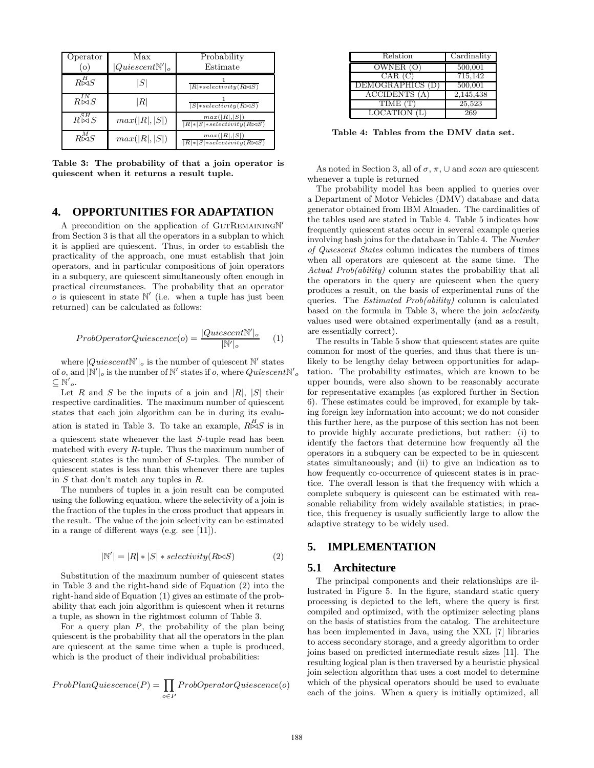| Operator<br>$\circ$         | Max<br>$ Quiescent \mathbb{N}' _o$ | Probability<br>Estimate                                       |
|-----------------------------|------------------------------------|---------------------------------------------------------------|
| $R^H \rtimes S$             | S                                  | $ R $ *selectivity $(R \bowtie S)$                            |
| $R_{\infty}^{IN}S$          | $\left\vert R\right\vert$          | $ S  * selectivity(R \Join S)$                                |
| $R \overset{SH}{\bowtie} S$ | max( R ,  S )                      | max( R , S )<br>$ R $ * $ S $ * selectivity $(R \boxtimes S)$ |
| $R^M_\infty S$              | max( R ,  S )                      | max( R , S )<br>$ R $ * $ S $ * selectivity $(R \bowtie S)$   |

Table 3: The probability of that a join operator is quiescent when it returns a result tuple.

#### **4. OPPORTUNITIES FOR ADAPTATION**

A precondition on the application of GETREMAININGN' from Section 3 is that all the operators in a subplan to which it is applied are quiescent. Thus, in order to establish the practicality of the approach, one must establish that join operators, and in particular compositions of join operators in a subquery, are quiescent simultaneously often enough in practical circumstances. The probability that an operator  $\overline{\mathcal{O}}$  is quiescent in state  $\mathbb{N}'$  (i.e. when a tuple has just been returned) can be calculated as follows:

$$
ProbOperatorQuiescence(o) = \frac{|Quiescent \mathbb{N}'|_o}{|\mathbb{N}'|_o}
$$
 (1)

where  $|Quiescent \mathbb{N}'|_o$  is the number of quiescent  $\mathbb{N}'$  states of  $o$ , and  $|\mathbb{N}'|_o$  is the number of  $\mathbb{N}'$  states if  $o$ , where  $Quiescent \mathbb{N}'_o$  $\subseteq N'$ o.

Let R and S be the inputs of a join and  $|R|, |S|$  their respective cardinalities. The maximum number of quiescent states that each join algorithm can be in during its evaluation is stated in Table 3. To take an example,  $R \nightharpoonup S$  is in a quiescent state whenever the last S-tuple read has been matched with every R-tuple. Thus the maximum number of quiescent states is the number of S-tuples. The number of quiescent states is less than this whenever there are tuples in S that don't match any tuples in R.

The numbers of tuples in a join result can be computed using the following equation, where the selectivity of a join is the fraction of the tuples in the cross product that appears in the result. The value of the join selectivity can be estimated in a range of different ways (e.g. see [11]).

$$
|\mathbb{N}'| = |R| * |S| * selectivity(R \bowtie S)
$$
 (2)

Substitution of the maximum number of quiescent states in Table 3 and the right-hand side of Equation (2) into the right-hand side of Equation (1) gives an estimate of the probability that each join algorithm is quiescent when it returns a tuple, as shown in the rightmost column of Table 3.

For a query plan  $P$ , the probability of the plan being quiescent is the probability that all the operators in the plan are quiescent at the same time when a tuple is produced, which is the product of their individual probabilities:

$$
ProbPlanQuiescence (P) = \prod_{o \in P} ProbOperatorQuiescence (o)
$$

| Relation             | Cardinality |
|----------------------|-------------|
| OWNER (O)            | 500,001     |
| CAR (C)              | 715,142     |
| DEMOGRAPHICS (D)     | 500,001     |
| <b>ACCIDENTS</b> (A) | 2,145,438   |
| TIME(T)              | 25,523      |
| <b>LOCATION</b>      | 269         |

Table 4: Tables from the DMV data set.

As noted in Section 3, all of  $\sigma$ ,  $\pi$ ,  $\cup$  and scan are quiescent whenever a tuple is returned

The probability model has been applied to queries over a Department of Motor Vehicles (DMV) database and data generator obtained from IBM Almaden. The cardinalities of the tables used are stated in Table 4. Table 5 indicates how frequently quiescent states occur in several example queries involving hash joins for the database in Table 4. The Number of Quiescent States column indicates the numbers of times when all operators are quiescent at the same time. The Actual Prob(ability) column states the probability that all the operators in the query are quiescent when the query produces a result, on the basis of experimental runs of the queries. The Estimated Prob(ability) column is calculated based on the formula in Table 3, where the join selectivity values used were obtained experimentally (and as a result, are essentially correct).

The results in Table 5 show that quiescent states are quite common for most of the queries, and thus that there is unlikely to be lengthy delay between opportunities for adaptation. The probability estimates, which are known to be upper bounds, were also shown to be reasonably accurate for representative examples (as explored further in Section 6). These estimates could be improved, for example by taking foreign key information into account; we do not consider this further here, as the purpose of this section has not been to provide highly accurate predictions, but rather: (i) to identify the factors that determine how frequently all the operators in a subquery can be expected to be in quiescent states simultaneously; and (ii) to give an indication as to how frequently co-occurrence of quiescent states is in practice. The overall lesson is that the frequency with which a complete subquery is quiescent can be estimated with reasonable reliability from widely available statistics; in practice, this frequency is usually sufficiently large to allow the adaptive strategy to be widely used.

## **5. IMPLEMENTATION**

#### **5.1 Architecture**

The principal components and their relationships are illustrated in Figure 5. In the figure, standard static query processing is depicted to the left, where the query is first compiled and optimized, with the optimizer selecting plans on the basis of statistics from the catalog. The architecture has been implemented in Java, using the XXL [7] libraries to access secondary storage, and a greedy algorithm to order joins based on predicted intermediate result sizes [11]. The resulting logical plan is then traversed by a heuristic physical join selection algorithm that uses a cost model to determine which of the physical operators should be used to evaluate each of the joins. When a query is initially optimized, all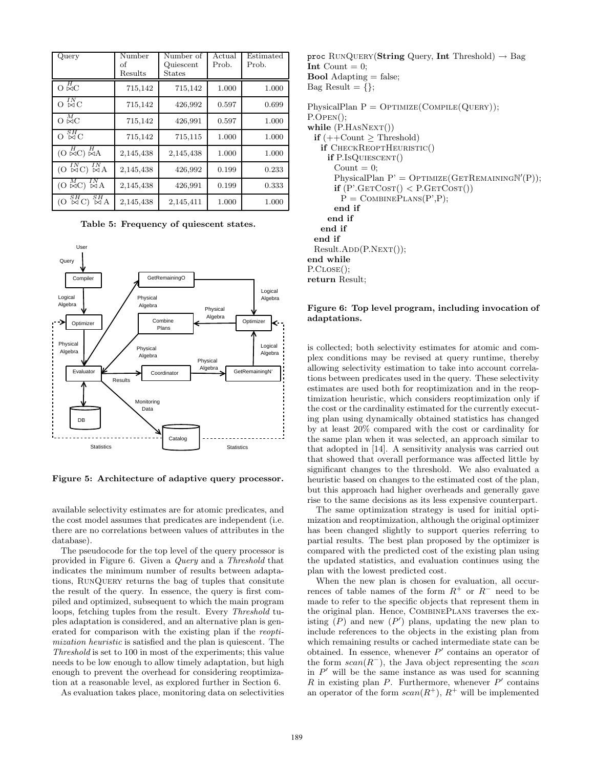| Query                                                          | Number<br>of<br>Results | Number of<br>Quiescent<br>States | Actual<br>Prob. | Estimated<br>Prob. |
|----------------------------------------------------------------|-------------------------|----------------------------------|-----------------|--------------------|
| $O \n\overline{M}C$                                            | 715,142                 | 715,142                          | 1.000           | 1.000              |
| ${}_{\infty}^{IN}$ C<br>$\Omega$                               | 715,142                 | 426,992                          | 0.597           | 0.699              |
| $O \stackrel{M}{\bowtie} C$                                    | 715,142                 | 426,991                          | 0.597           | 1.000              |
| $\frac{SH}{\bowtie C}$<br>$\Omega$                             | 715,142                 | 715,115                          | 1.000           | 1.000              |
| $(O \not\bowtie C) \not\bowtie A$                              | 2,145,438               | 2,145,438                        | 1.000           | 1.000              |
| $(O \overset{IN}{\bowtie} C) \overset{IN}{\bowtie} A$          | 2,145,438               | 426,992                          | 0.199           | 0.233              |
| $^{IN}_{\bowtie A}$<br>$\stackrel{M}{\bowtie}$ C)<br><u>(Ο</u> | 2,145,438               | 426,991                          | 0.199           | 0.333              |
| SН<br>SН<br>$\boxtimes$ A<br>$\alpha$                          | 2,145,438               | 2,145,411                        | 1.000           | 1.000              |

Table 5: Frequency of quiescent states.



Figure 5: Architecture of adaptive query processor.

available selectivity estimates are for atomic predicates, and the cost model assumes that predicates are independent (i.e. there are no correlations between values of attributes in the database).

The pseudocode for the top level of the query processor is provided in Figure 6. Given a Query and a Threshold that indicates the minimum number of results between adaptations, RunQuery returns the bag of tuples that consitute the result of the query. In essence, the query is first compiled and optimized, subsequent to which the main program loops, fetching tuples from the result. Every Threshold tuples adaptation is considered, and an alternative plan is generated for comparison with the existing plan if the reoptimization heuristic is satisfied and the plan is quiescent. The Threshold is set to 100 in most of the experiments; this value needs to be low enough to allow timely adaptation, but high enough to prevent the overhead for considering reoptimization at a reasonable level, as explored further in Section 6.

As evaluation takes place, monitoring data on selectivities

proc RUNQUERY(String Query, Int Threshold)  $\rightarrow$  Bag Int Count  $= 0$ ; **Bool** Adapting  $=$  false; Bag Result  $= \{\}$ : PhysicalPlan  $P = OPTIMIZE(COMPLE(QUERY));$ P.Open();

while  $(P.HASNext())$ if  $(++Count \geq Threshold)$ if CHECKREOPTHEURISTIC() if P.IsQuiescent() Count  $= 0$ ;  $\text{PhysicalPlan P'} = \text{Optimize}(\text{GETRemainN'}(P));$  $if (P' \text{.GETCOST}) < P \text{.GETCOST})$  $P = \text{COMBINEPLANS}(P', P);$ end if end if end if end if Result.ADD(P.NEXT()); end while P.CLOSE(): return Result;

#### Figure 6: Top level program, including invocation of adaptations.

is collected; both selectivity estimates for atomic and complex conditions may be revised at query runtime, thereby allowing selectivity estimation to take into account correlations between predicates used in the query. These selectivity estimates are used both for reoptimization and in the reoptimization heuristic, which considers reoptimization only if the cost or the cardinality estimated for the currently executing plan using dynamically obtained statistics has changed by at least 20% compared with the cost or cardinality for the same plan when it was selected, an approach similar to that adopted in [14]. A sensitivity analysis was carried out that showed that overall performance was affected little by significant changes to the threshold. We also evaluated a heuristic based on changes to the estimated cost of the plan, but this approach had higher overheads and generally gave rise to the same decisions as its less expensive counterpart.

The same optimization strategy is used for initial optimization and reoptimization, although the original optimizer has been changed slightly to support queries referring to partial results. The best plan proposed by the optimizer is compared with the predicted cost of the existing plan using the updated statistics, and evaluation continues using the plan with the lowest predicted cost.

When the new plan is chosen for evaluation, all occurrences of table names of the form  $R^+$  or  $R^-$  need to be made to refer to the specific objects that represent them in the original plan. Hence, CombinePlans traverses the existing  $(P)$  and new  $(P')$  plans, updating the new plan to include references to the objects in the existing plan from which remaining results or cached intermediate state can be obtained. In essence, whenever  $P'$  contains an operator of the form  $scan(R^{-})$ , the Java object representing the scan in  $P'$  will be the same instance as was used for scanning R in existing plan P. Furthermore, whenever  $P'$  contains an operator of the form  $scan(R^+)$ ,  $R^+$  will be implemented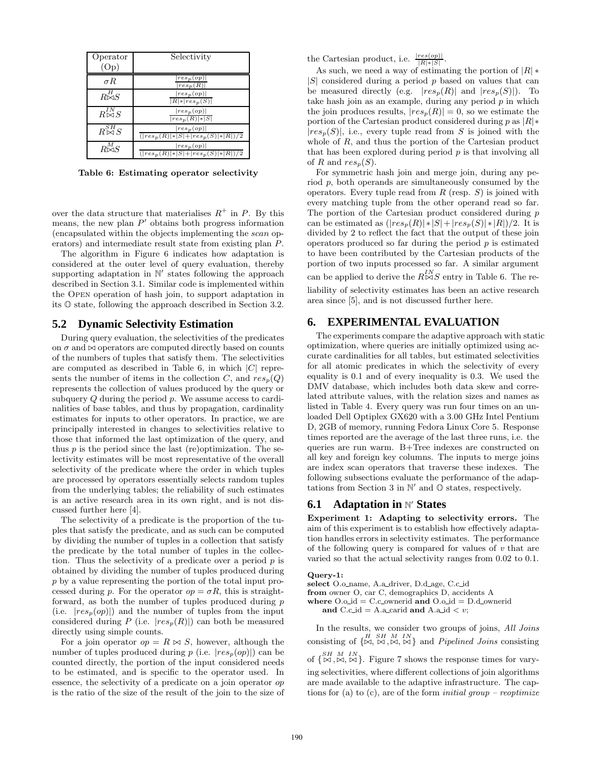| Operator<br>(O <sub>D</sub> ) | Selectivity                                                           |
|-------------------------------|-----------------------------------------------------------------------|
| $\sigma R$                    | $res_p(op)$<br>$\left  res_{p}(R)\right $                             |
| $R^{H}_{\bowtie S}$           | $ res_p(op) $<br>$ R * res_p(S) $                                     |
| $R_{\infty}^{IN}S$            | $ res_p(op) $<br>$ res_p(R) * S $                                     |
| $R\overset{SH}{\bowtie} S$    | $ res_p(op) $<br>$( res_p(R) * S + res_p(S) * R )/2$                  |
| $R_{\infty}^{M}$ S            | $\left   res_{p}(op) \right  $<br>$( res_p(R) * S + res_p(S) * R )/2$ |

Table 6: Estimating operator selectivity

over the data structure that materialises  $R^+$  in P. By this means, the new plan  $P'$  obtains both progress information (encapsulated within the objects implementing the scan operators) and intermediate result state from existing plan P.

The algorithm in Figure 6 indicates how adaptation is considered at the outer level of query evaluation, thereby supporting adaptation in  $\mathbb{N}'$  states following the approach described in Section 3.1. Similar code is implemented within the Open operation of hash join, to support adaptation in its O state, following the approach described in Section 3.2.

#### **5.2 Dynamic Selectivity Estimation**

During query evaluation, the selectivities of the predicates on  $\sigma$  and  $\bowtie$  operators are computed directly based on counts of the numbers of tuples that satisfy them. The selectivities are computed as described in Table 6, in which  $|C|$  represents the number of items in the collection C, and  $res_p(Q)$ represents the collection of values produced by the query or subquery  $Q$  during the period  $p$ . We assume access to cardinalities of base tables, and thus by propagation, cardinality estimates for inputs to other operators. In practice, we are principally interested in changes to selectivities relative to those that informed the last optimization of the query, and thus  $p$  is the period since the last (re)optimization. The selectivity estimates will be most representative of the overall selectivity of the predicate where the order in which tuples are processed by operators essentially selects random tuples from the underlying tables; the reliability of such estimates is an active research area in its own right, and is not discussed further here [4].

The selectivity of a predicate is the proportion of the tuples that satisfy the predicate, and as such can be computed by dividing the number of tuples in a collection that satisfy the predicate by the total number of tuples in the collection. Thus the selectivity of a predicate over a period  $p$  is obtained by dividing the number of tuples produced during p by a value representing the portion of the total input processed during p. For the operator  $op = \sigma R$ , this is straightforward, as both the number of tuples produced during  $p$ (i.e.  $|res_p(op)|$ ) and the number of tuples from the input considered during P (i.e.  $|res_p(R)|$ ) can both be measured directly using simple counts.

For a join operator  $op = R \bowtie S$ , however, although the number of tuples produced during p (i.e.  $|res_p(op)|$ ) can be counted directly, the portion of the input considered needs to be estimated, and is specific to the operator used. In essence, the selectivity of a predicate on a join operator op is the ratio of the size of the result of the join to the size of the Cartesian product, i.e.  $\frac{|res(op)|}{|R| * |S|}$ .

As such, we need a way of estimating the portion of  $|R|$  \*  $|S|$  considered during a period p based on values that can be measured directly (e.g.  $|res_p(R)|$  and  $|res_p(S)|$ ). To take hash join as an example, during any period  $p$  in which the join produces results,  $|res_p(R)| = 0$ , so we estimate the portion of the Cartesian product considered during p as  $|R|$ \*  $|res_p(S)|$ , i.e., every tuple read from S is joined with the whole of R, and thus the portion of the Cartesian product that has been explored during period  $p$  is that involving all of R and  $res_p(S)$ .

For symmetric hash join and merge join, during any period p, both operands are simultaneously consumed by the operators. Every tuple read from  $R$  (resp.  $S$ ) is joined with every matching tuple from the other operand read so far. The portion of the Cartesian product considered during  $p$ can be estimated as  $(|res_p(R)| * |S| + |res_p(S)| * |R|)/2$ . It is divided by 2 to reflect the fact that the output of these join operators produced so far during the period  $p$  is estimated to have been contributed by the Cartesian products of the portion of two inputs processed so far. A similar argument can be applied to derive the  $R_{\infty}^{IN}$ S entry in Table 6. The reliability of selectivity estimates has been an active research area since [5], and is not discussed further here.

#### **6. EXPERIMENTAL EVALUATION**

The experiments compare the adaptive approach with static optimization, where queries are initially optimized using accurate cardinalities for all tables, but estimated selectivities for all atomic predicates in which the selectivity of every equality is 0.1 and of every inequality is 0.3. We used the DMV database, which includes both data skew and correlated attribute values, with the relation sizes and names as listed in Table 4. Every query was run four times on an unloaded Dell Optiplex GX620 with a 3.00 GHz Intel Pentium D, 2GB of memory, running Fedora Linux Core 5. Response times reported are the average of the last three runs, i.e. the queries are run warm. B+Tree indexes are constructed on all key and foreign key columns. The inputs to merge joins are index scan operators that traverse these indexes. The following subsections evaluate the performance of the adaptations from Section 3 in  $\mathbb{N}'$  and  $\mathbb{O}$  states, respectively.

# **6.1** Adaptation in N' States

Experiment 1: Adapting to selectivity errors. The aim of this experiment is to establish how effectively adaptation handles errors in selectivity estimates. The performance of the following query is compared for values of  $v$  that are varied so that the actual selectivity ranges from 0.02 to 0.1.

## Query-1:

select O.o name, A.a driver, D.d age, C.c id

from owner O, car C, demographics D, accidents A

where  $O.o.d = C.c.$  ownerid and  $O.o.d = D.d.$  ownerid

and C.c id = A.a carid and A.a id  $\lt v$ ;

In the results, we consider two groups of joins, All Joins consisting of  $\{ \stackrel{H}{\bowtie}, \stackrel{SH}{\bowtie}, \stackrel{I}{\bowtie}, \stackrel{IN}{\bowtie} \}$  and *Pipelined Joins* consisting

of  $\{ \overset{SH}{\bowtie}, \overset{M}{\bowtie}, \overset{IN}{\bowtie} \}$ . Figure 7 shows the response times for varying selectivities, where different collections of join algorithms are made available to the adaptive infrastructure. The captions for (a) to (c), are of the form *initial group – reoptimize*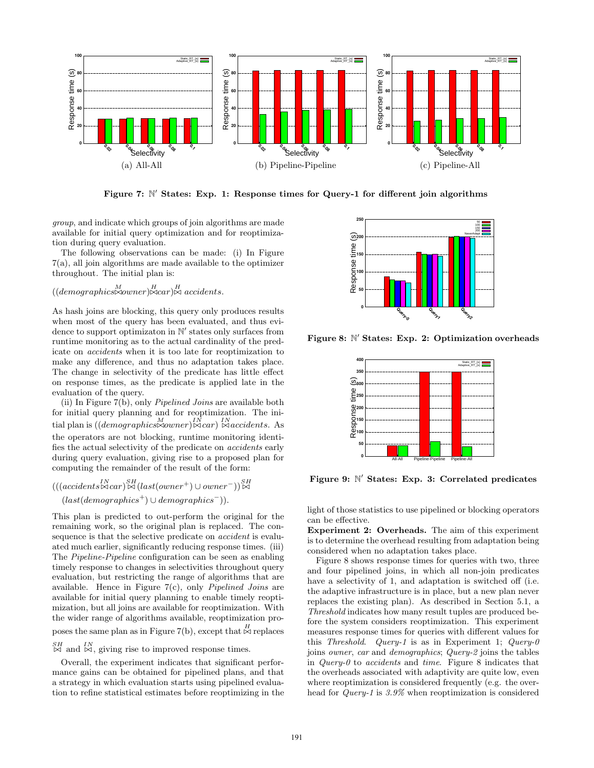

Figure 7: N' States: Exp. 1: Response times for Query-1 for different join algorithms

group, and indicate which groups of join algorithms are made available for initial query optimization and for reoptimization during query evaluation.

The following observations can be made: (i) In Figure 7(a), all join algorithms are made available to the optimizer throughout. The initial plan is:

# $((demographies \Join own \Join Cax) \Join A \text{ accidents}).$

As hash joins are blocking, this query only produces results when most of the query has been evaluated, and thus evidence to support optimizaton in  $\mathbb{N}'$  states only surfaces from runtime monitoring as to the actual cardinality of the predicate on accidents when it is too late for reoptimization to make any difference, and thus no adaptation takes place. The change in selectivity of the predicate has little effect on response times, as the predicate is applied late in the evaluation of the query.

(ii) In Figure 7(b), only Pipelined Joins are available both for initial query planning and for reoptimization. The initial plan is ((*demographics* $\bowtie$ *owner*) $\bowtie$ *car*)  $\bowtie$ *accidents*. As the operators are not blocking, runtime monitoring identifies the actual selectivity of the predicate on accidents early during query evaluation, giving rise to a proposed plan for computing the remainder of the result of the form:

$$
(((accidents \times car) \times H (last(owner^{+}) \cup owner^{-})) \times H \\ (last(demographies^{+}) \cup demographies^{-})).
$$

This plan is predicted to out-perform the original for the remaining work, so the original plan is replaced. The consequence is that the selective predicate on *accident* is evaluated much earlier, significantly reducing response times. (iii) The Pipeline-Pipeline configuration can be seen as enabling timely response to changes in selectivities throughout query evaluation, but restricting the range of algorithms that are available. Hence in Figure 7(c), only Pipelined Joins are available for initial query planning to enable timely reoptimization, but all joins are available for reoptimization. With the wider range of algorithms available, reoptimization proposes the same plan as in Figure 7(b), except that  $\stackrel{H}{\bowtie}$  replaces

 $\overset{SH}{\bowtie}$  and  $\overset{IN}{\bowtie}$ , giving rise to improved response times.

Overall, the experiment indicates that significant performance gains can be obtained for pipelined plans, and that a strategy in which evaluation starts using pipelined evaluation to refine statistical estimates before reoptimizing in the



Figure 8: N' States: Exp. 2: Optimization overheads



Figure 9: N' States: Exp. 3: Correlated predicates

light of those statistics to use pipelined or blocking operators can be effective.

Experiment 2: Overheads. The aim of this experiment is to determine the overhead resulting from adaptation being considered when no adaptation takes place.

Figure 8 shows response times for queries with two, three and four pipelined joins, in which all non-join predicates have a selectivity of 1, and adaptation is switched off (i.e. the adaptive infrastructure is in place, but a new plan never replaces the existing plan). As described in Section 5.1, a Threshold indicates how many result tuples are produced before the system considers reoptimization. This experiment measures response times for queries with different values for this Threshold. Query-1 is as in Experiment 1; Query-0 joins owner, car and demographics; Query-2 joins the tables in Query- $\theta$  to accidents and time. Figure 8 indicates that the overheads associated with adaptivity are quite low, even where reoptimization is considered frequently (e.g. the overhead for Query-1 is 3.9% when reoptimization is considered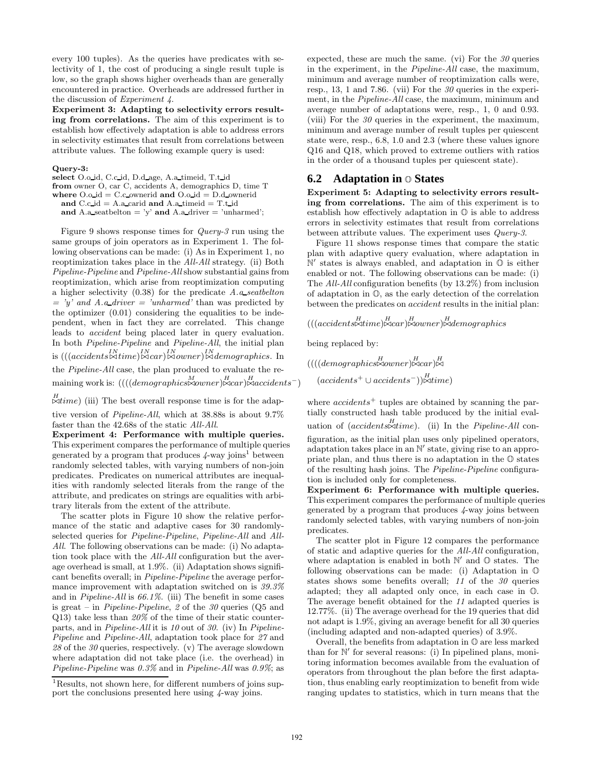every 100 tuples). As the queries have predicates with selectivity of 1, the cost of producing a single result tuple is low, so the graph shows higher overheads than are generally encountered in practice. Overheads are addressed further in the discussion of Experiment 4.

Experiment 3: Adapting to selectivity errors resulting from correlations. The aim of this experiment is to establish how effectively adaptation is able to address errors in selectivity estimates that result from correlations between attribute values. The following example query is used:

#### Query-3:

select O.o id, C.c id, D.d age, A.a timeid, T.t id from owner O, car C, accidents A, demographics D, time T where  $O.o.d = C.c$  ownerid and  $O.o.d = D.d$  ownerid and  $C.c$  id = A.a carid and A.a time  $d = T.t$  id and A.a seatbelton = 'y' and A.a driver = 'unharmed';

Figure 9 shows response times for Query-3 run using the same groups of join operators as in Experiment 1. The following observations can be made: (i) As in Experiment 1, no reoptimization takes place in the All-All strategy. (ii) Both Pipeline-Pipeline and Pipeline-All show substantial gains from reoptimization, which arise from reoptimization computing a higher selectivity  $(0.38)$  for the predicate A.a seatbelton  $=$  'y' and A.a\_driver  $=$  'unharmed' than was predicted by the optimizer  $(0.01)$  considering the equalities to be independent, when in fact they are correlated. This change leads to accident being placed later in query evaluation. In both Pipeline-Pipeline and Pipeline-All, the initial plan is  $(((accidents \Join time) \Join car) \Join owner) \Join demographies.$  In the Pipeline-All case, the plan produced to evaluate the remaining work is:  $(((demographics \times owner) \times car) \times accidents^{-})$ 

 $\mathbb{R}$ time) (iii) The best overall response time is for the adap-

tive version of Pipeline-All, which at 38.88s is about 9.7% faster than the 42.68s of the static All-All.

Experiment 4: Performance with multiple queries. This experiment compares the performance of multiple queries generated by a program that produces  $4$ -way joins<sup>1</sup> between randomly selected tables, with varying numbers of non-join predicates. Predicates on numerical attributes are inequalities with randomly selected literals from the range of the attribute, and predicates on strings are equalities with arbitrary literals from the extent of the attribute.

The scatter plots in Figure 10 show the relative performance of the static and adaptive cases for 30 randomlyselected queries for Pipeline-Pipeline, Pipeline-All and All-All. The following observations can be made: (i) No adaptation took place with the All-All configuration but the average overhead is small, at 1.9%. (ii) Adaptation shows significant benefits overall; in Pipeline-Pipeline the average performance improvement with adaptation switched on is 39.3% and in Pipeline-All is 66.1%. (iii) The benefit in some cases is great – in *Pipeline-Pipeline*, 2 of the  $30$  queries (Q5 and Q13) take less than  $20\%$  of the time of their static counterparts, and in Pipeline-All it is 10 out of 30. (iv) In Pipeline-Pipeline and Pipeline-All, adaptation took place for 27 and  $28$  of the  $30$  queries, respectively. (v) The average slowdown where adaptation did not take place (i.e. the overhead) in Pipeline-Pipeline was 0.3% and in Pipeline-All was 0.9%; as

expected, these are much the same. (vi) For the  $30$  queries in the experiment, in the Pipeline-All case, the maximum, minimum and average number of reoptimization calls were, resp., 13, 1 and 7.86. (vii) For the  $30$  queries in the experiment, in the Pipeline-All case, the maximum, minimum and average number of adaptations were, resp., 1, 0 and 0.93. (viii) For the  $30$  queries in the experiment, the maximum, minimum and average number of result tuples per quiescent state were, resp., 6.8, 1.0 and 2.3 (where these values ignore Q16 and Q18, which proved to extreme outliers with ratios in the order of a thousand tuples per quiescent state).

#### **6.2 Adaptation in** O **States**

Experiment 5: Adapting to selectivity errors resulting from correlations. The aim of this experiment is to establish how effectively adaptation in O is able to address errors in selectivity estimates that result from correlations between attribute values. The experiment uses Query-3.

Figure 11 shows response times that compare the static plan with adaptive query evaluation, where adaptation in  $\mathbb{N}'$  states is always enabled, and adaptation in  $\mathbb{O}$  is either enabled or not. The following observations can be made: (i) The All-All configuration benefits (by 13.2%) from inclusion of adaptation in O, as the early detection of the correlation between the predicates on accident results in the initial plan:

$$
(((accidents \times time) \times car) \times over) \times demographies
$$

being replaced by:

$$
(((\ndemographics \bowtie owner) \bowtie car) \bowtie
$$
  

$$
(accidents^{+} \cup accidents^{-})) \bowtie time)
$$

where  $accidents<sup>+</sup>$  tuples are obtained by scanning the partially constructed hash table produced by the initial evaluation of  $(acidents \times time)$ . (ii) In the *Pipeline-All* configuration, as the initial plan uses only pipelined operators, adaptation takes place in an N' state, giving rise to an appropriate plan, and thus there is no adaptation in the O states of the resulting hash joins. The Pipeline-Pipeline configuration is included only for completeness.

Experiment 6: Performance with multiple queries. This experiment compares the performance of multiple queries generated by a program that produces 4-way joins between randomly selected tables, with varying numbers of non-join predicates.

The scatter plot in Figure 12 compares the performance of static and adaptive queries for the All-All configuration, where adaptation is enabled in both  $\mathbb{N}'$  and  $\mathbb{O}$  states. The following observations can be made: (i) Adaptation in O states shows some benefits overall; 11 of the 30 queries adapted; they all adapted only once, in each case in O. The average benefit obtained for the 11 adapted queries is 12.77%. (ii) The average overhead for the 19 queries that did not adapt is 1.9%, giving an average benefit for all 30 queries (including adapted and non-adapted queries) of 3.9%.

Overall, the benefits from adaptation in O are less marked than for  $\mathbb{N}'$  for several reasons: (i) In pipelined plans, monitoring information becomes available from the evaluation of operators from throughout the plan before the first adaptation, thus enabling early reoptimization to benefit from wide ranging updates to statistics, which in turn means that the

<sup>&</sup>lt;sup>1</sup>Results, not shown here, for different numbers of joins support the conclusions presented here using 4-way joins.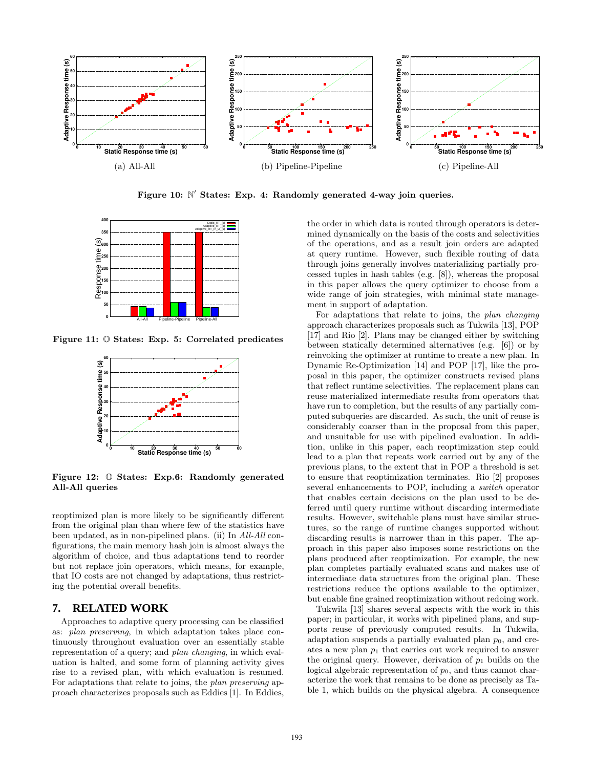

Figure 10: N' States: Exp. 4: Randomly generated 4-way join queries.



Figure 11: O States: Exp. 5: Correlated predicates



Figure 12: O States: Exp.6: Randomly generated All-All queries

reoptimized plan is more likely to be significantly different from the original plan than where few of the statistics have been updated, as in non-pipelined plans. (ii) In All-All configurations, the main memory hash join is almost always the algorithm of choice, and thus adaptations tend to reorder but not replace join operators, which means, for example, that IO costs are not changed by adaptations, thus restricting the potential overall benefits.

# **7. RELATED WORK**

Approaches to adaptive query processing can be classified as: plan preserving, in which adaptation takes place continuously throughout evaluation over an essentially stable representation of a query; and plan changing, in which evaluation is halted, and some form of planning activity gives rise to a revised plan, with which evaluation is resumed. For adaptations that relate to joins, the plan preserving approach characterizes proposals such as Eddies [1]. In Eddies, the order in which data is routed through operators is determined dynamically on the basis of the costs and selectivities of the operations, and as a result join orders are adapted at query runtime. However, such flexible routing of data through joins generally involves materializing partially processed tuples in hash tables (e.g. [8]), whereas the proposal in this paper allows the query optimizer to choose from a wide range of join strategies, with minimal state management in support of adaptation.

For adaptations that relate to joins, the plan changing approach characterizes proposals such as Tukwila [13], POP [17] and Rio [2]. Plans may be changed either by switching between statically determined alternatives (e.g. [6]) or by reinvoking the optimizer at runtime to create a new plan. In Dynamic Re-Optimization [14] and POP [17], like the proposal in this paper, the optimizer constructs revised plans that reflect runtime selectivities. The replacement plans can reuse materialized intermediate results from operators that have run to completion, but the results of any partially computed subqueries are discarded. As such, the unit of reuse is considerably coarser than in the proposal from this paper, and unsuitable for use with pipelined evaluation. In addition, unlike in this paper, each reoptimization step could lead to a plan that repeats work carried out by any of the previous plans, to the extent that in POP a threshold is set to ensure that reoptimization terminates. Rio [2] proposes several enhancements to POP, including a switch operator that enables certain decisions on the plan used to be deferred until query runtime without discarding intermediate results. However, switchable plans must have similar structures, so the range of runtime changes supported without discarding results is narrower than in this paper. The approach in this paper also imposes some restrictions on the plans produced after reoptimization. For example, the new plan completes partially evaluated scans and makes use of intermediate data structures from the original plan. These restrictions reduce the options available to the optimizer, but enable fine grained reoptimization without redoing work.

Tukwila [13] shares several aspects with the work in this paper; in particular, it works with pipelined plans, and supports reuse of previously computed results. In Tukwila, adaptation suspends a partially evaluated plan  $p_0$ , and creates a new plan  $p_1$  that carries out work required to answer the original query. However, derivation of  $p_1$  builds on the logical algebraic representation of  $p_0$ , and thus cannot characterize the work that remains to be done as precisely as Table 1, which builds on the physical algebra. A consequence